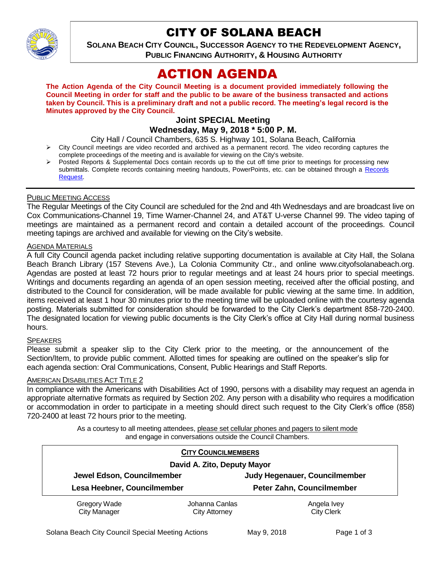

## CITY OF SOLANA BEACH

**SOLANA BEACH CITY COUNCIL, SUCCESSOR AGENCY TO THE REDEVELOPMENT AGENCY, PUBLIC FINANCING AUTHORITY, & HOUSING AUTHORITY** 

# ACTION AGENDA

**The Action Agenda of the City Council Meeting is a document provided immediately following the Council Meeting in order for staff and the public to be aware of the business transacted and actions taken by Council. This is a preliminary draft and not a public record. The meeting's legal record is the Minutes approved by the City Council.**

## **Joint SPECIAL Meeting**

**Wednesday, May 9, 2018 \* 5:00 P. M.**

City Hall / Council Chambers, 635 S. Highway 101, Solana Beach, California

- $\triangleright$  City Council meetings are video recorded and archived as a permanent record. The video recording captures the complete proceedings of the meeting and is available for viewing on the City's website.
- Posted Reports & Supplemental Docs contain records up to the cut off time prior to meetings for processing new submittals. Complete records containing meeting handouts, PowerPoints, etc. can be obtained through a [Records](http://www.ci.solana-beach.ca.us/index.asp?SEC=F5D45D10-70CE-4291-A27C-7BD633FC6742&Type=B_BASIC)  [Request.](http://www.ci.solana-beach.ca.us/index.asp?SEC=F5D45D10-70CE-4291-A27C-7BD633FC6742&Type=B_BASIC)

## PUBLIC MEETING ACCESS

The Regular Meetings of the City Council are scheduled for the 2nd and 4th Wednesdays and are broadcast live on Cox Communications-Channel 19, Time Warner-Channel 24, and AT&T U-verse Channel 99. The video taping of meetings are maintained as a permanent record and contain a detailed account of the proceedings. Council meeting tapings are archived and available for viewing on the City's website.

## AGENDA MATERIALS

A full City Council agenda packet including relative supporting documentation is available at City Hall, the Solana Beach Branch Library (157 Stevens Ave.), La Colonia Community Ctr., and online www.cityofsolanabeach.org. Agendas are posted at least 72 hours prior to regular meetings and at least 24 hours prior to special meetings. Writings and documents regarding an agenda of an open session meeting, received after the official posting, and distributed to the Council for consideration, will be made available for public viewing at the same time. In addition, items received at least 1 hour 30 minutes prior to the meeting time will be uploaded online with the courtesy agenda posting. Materials submitted for consideration should be forwarded to the City Clerk's department 858-720-2400. The designated location for viewing public documents is the City Clerk's office at City Hall during normal business hours.

#### SPEAKERS

Please submit a speaker slip to the City Clerk prior to the meeting, or the announcement of the Section/Item, to provide public comment. Allotted times for speaking are outlined on the speaker's slip for each agenda section: Oral Communications, Consent, Public Hearings and Staff Reports.

#### AMERICAN DISABILITIES ACT TITLE 2

In compliance with the Americans with Disabilities Act of 1990, persons with a disability may request an agenda in appropriate alternative formats as required by Section 202. Any person with a disability who requires a modification or accommodation in order to participate in a meeting should direct such request to the City Clerk's office (858) 720-2400 at least 72 hours prior to the meeting.

> As a courtesy to all meeting attendees, please set cellular phones and pagers to silent mode and engage in conversations outside the Council Chambers.

|                                     | <b>CITY COUNCILMEMBERS</b>             |                                  |  |
|-------------------------------------|----------------------------------------|----------------------------------|--|
|                                     | David A. Zito, Deputy Mayor            |                                  |  |
| Jewel Edson, Councilmember          |                                        | Judy Hegenauer, Councilmember    |  |
| Lesa Heebner, Councilmember         |                                        | Peter Zahn, Councilmember        |  |
| Gregory Wade<br><b>City Manager</b> | Johanna Canlas<br><b>City Attorney</b> | Angela Ivey<br><b>City Clerk</b> |  |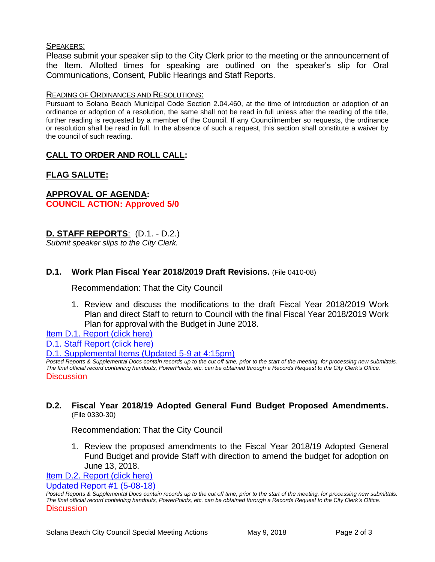#### SPEAKERS:

Please submit your speaker slip to the City Clerk prior to the meeting or the announcement of the Item. Allotted times for speaking are outlined on the speaker's slip for Oral Communications, Consent, Public Hearings and Staff Reports.

#### READING OF ORDINANCES AND RESOLUTIONS:

Pursuant to Solana Beach Municipal Code Section 2.04.460, at the time of introduction or adoption of an ordinance or adoption of a resolution, the same shall not be read in full unless after the reading of the title, further reading is requested by a member of the Council. If any Councilmember so requests, the ordinance or resolution shall be read in full. In the absence of such a request, this section shall constitute a waiver by the council of such reading.

## **CALL TO ORDER AND ROLL CALL:**

## **FLAG SALUTE:**

**APPROVAL OF AGENDA: COUNCIL ACTION: Approved 5/0**

## **D. STAFF REPORTS**: (D.1. - D.2.)

*Submit speaker slips to the City Clerk.*

## **D.1. Work Plan Fiscal Year 2018/2019 Draft Revisions.** (File 0410-08)

Recommendation: That the City Council

1. Review and discuss the modifications to the draft Fiscal Year 2018/2019 Work Plan and direct Staff to return to Council with the final Fiscal Year 2018/2019 Work Plan for approval with the Budget in June 2018.

[Item D.1. Report \(click here\)](https://solanabeach.govoffice3.com/vertical/Sites/%7B840804C2-F869-4904-9AE3-720581350CE7%7D/uploads/Item_D.1._Report_(click_here)_5-9-18.PDF)

[D.1. Staff Report \(click here\)](https://solanabeach.govoffice3.com/vertical/Sites/%7B840804C2-F869-4904-9AE3-720581350CE7%7D/uploads/D.1._Staff_Report_Update__1.pdf)

[D.1. Supplemental Items \(Updated 5-9 at 4:15pm\)](https://solanabeach.govoffice3.com/vertical/Sites/%7B840804C2-F869-4904-9AE3-720581350CE7%7D/uploads/D.1._Supplemental_Items_(Updated_5-9_at_400pm).pdf)

*Posted Reports & Supplemental Docs contain records up to the cut off time, prior to the start of the meeting, for processing new submittals. The final official record containing handouts, PowerPoints, etc. can be obtained through a Records Request to the City Clerk's Office.* Discussion

## **D.2. Fiscal Year 2018/19 Adopted General Fund Budget Proposed Amendments.** (File 0330-30)

Recommendation: That the City Council

1. Review the proposed amendments to the Fiscal Year 2018/19 Adopted General Fund Budget and provide Staff with direction to amend the budget for adoption on June 13, 2018.

[Item D.2. Report \(click here\)](https://solanabeach.govoffice3.com/vertical/Sites/%7B840804C2-F869-4904-9AE3-720581350CE7%7D/uploads/Item_D.2._Report_(click_here)_5-9-18.pdf)

[Updated Report #1 \(5-08-18\)](https://solanabeach.govoffice3.com/vertical/Sites/%7B840804C2-F869-4904-9AE3-720581350CE7%7D/uploads/D.2._Updated_Report_1_-_5-09-18.pdf)

*Posted Reports & Supplemental Docs contain records up to the cut off time, prior to the start of the meeting, for processing new submittals. The final official record containing handouts, PowerPoints, etc. can be obtained through a Records Request to the City Clerk's Office.* **Discussion**